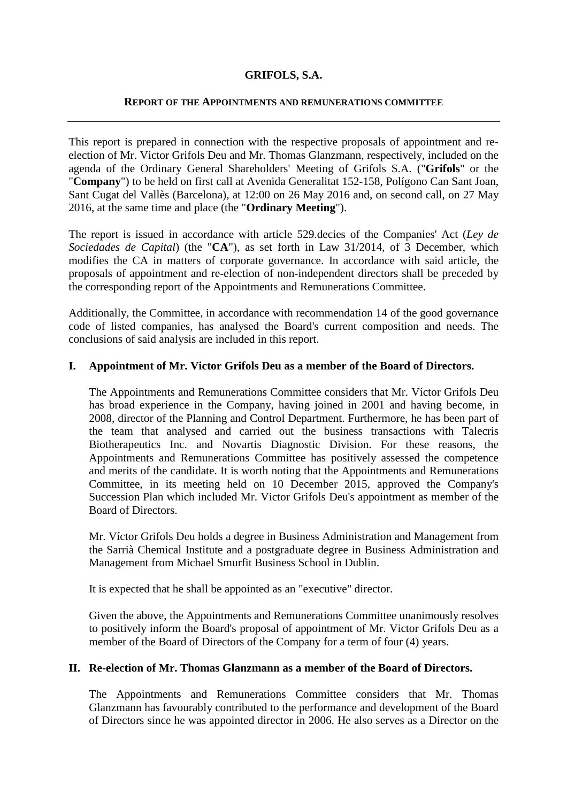# **GRIFOLS, S.A.**

#### **REPORT OF THE APPOINTMENTS AND REMUNERATIONS COMMITTEE**

This report is prepared in connection with the respective proposals of appointment and reelection of Mr. Victor Grifols Deu and Mr. Thomas Glanzmann, respectively, included on the agenda of the Ordinary General Shareholders' Meeting of Grifols S.A. ("**Grifols**" or the "**Company**") to be held on first call at Avenida Generalitat 152-158, Polígono Can Sant Joan, Sant Cugat del Vallès (Barcelona), at 12:00 on 26 May 2016 and, on second call, on 27 May 2016, at the same time and place (the "**Ordinary Meeting**").

The report is issued in accordance with article 529.decies of the Companies' Act (*Ley de Sociedades de Capital*) (the "**CA**"), as set forth in Law 31/2014, of 3 December, which modifies the CA in matters of corporate governance. In accordance with said article, the proposals of appointment and re-election of non-independent directors shall be preceded by the corresponding report of the Appointments and Remunerations Committee.

Additionally, the Committee, in accordance with recommendation 14 of the good governance code of listed companies, has analysed the Board's current composition and needs. The conclusions of said analysis are included in this report.

### **I. Appointment of Mr. Victor Grifols Deu as a member of the Board of Directors.**

The Appointments and Remunerations Committee considers that Mr. Víctor Grifols Deu has broad experience in the Company, having joined in 2001 and having become, in 2008, director of the Planning and Control Department. Furthermore, he has been part of the team that analysed and carried out the business transactions with Talecris Biotherapeutics Inc. and Novartis Diagnostic Division. For these reasons, the Appointments and Remunerations Committee has positively assessed the competence and merits of the candidate. It is worth noting that the Appointments and Remunerations Committee, in its meeting held on 10 December 2015, approved the Company's Succession Plan which included Mr. Victor Grifols Deu's appointment as member of the Board of Directors.

Mr. Víctor Grifols Deu holds a degree in Business Administration and Management from the Sarrià Chemical Institute and a postgraduate degree in Business Administration and Management from Michael Smurfit Business School in Dublin.

It is expected that he shall be appointed as an "executive" director.

Given the above, the Appointments and Remunerations Committee unanimously resolves to positively inform the Board's proposal of appointment of Mr. Victor Grifols Deu as a member of the Board of Directors of the Company for a term of four (4) years.

# **II. Re-election of Mr. Thomas Glanzmann as a member of the Board of Directors.**

The Appointments and Remunerations Committee considers that Mr. Thomas Glanzmann has favourably contributed to the performance and development of the Board of Directors since he was appointed director in 2006. He also serves as a Director on the